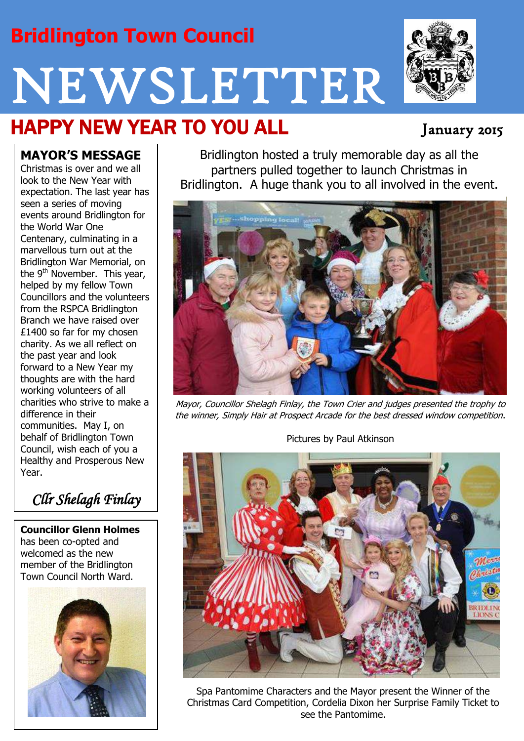# **Bridlington Town Council**

# NEWSLETTER

# HAPPY NEW YEAR TO YOU ALL January 2015

#### **MAYOR'S MESSAGE**

Christmas is over and we all look to the New Year with expectation. The last year has seen a series of moving events around Bridlington for the World War One Centenary, culminating in a marvellous turn out at the Bridlington War Memorial, on the 9<sup>th</sup> November. This year, helped by my fellow Town Councillors and the volunteers from the RSPCA Bridlington Branch we have raised over £1400 so far for my chosen charity. As we all reflect on the past year and look forward to a New Year my thoughts are with the hard working volunteers of all charities who strive to make a difference in their communities. May I, on behalf of Bridlington Town Council, wish each of you a Healthy and Prosperous New Year.

*Cllr Shelagh Finlay*

**Councillor Glenn Holmes** has been co-opted and welcomed as the new member of the Bridlington Town Council North Ward.



Bridlington hosted a truly memorable day as all the partners pulled together to launch Christmas in Bridlington. A huge thank you to all involved in the event.



Mayor, Councillor Shelagh Finlay, the Town Crier and judges presented the trophy to the winner, Simply Hair at Prospect Arcade for the best dressed window competition.

Pictures by Paul Atkinson



Spa Pantomime Characters and the Mayor present the Winner of the Christmas Card Competition, Cordelia Dixon her Surprise Family Ticket to see the Pantomime.